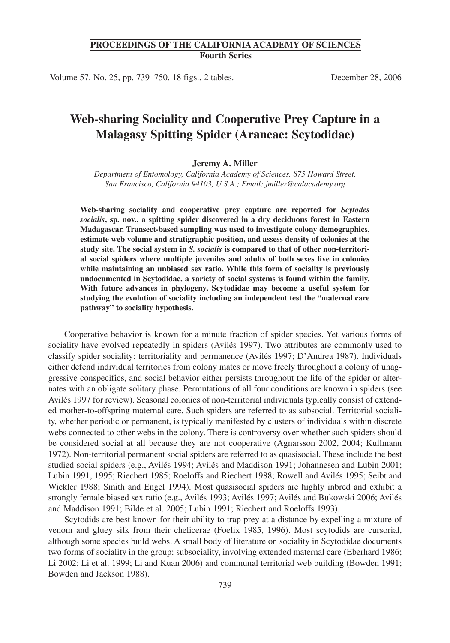## **PROCEEDINGS OF THE CALIFORNIA ACADEMY OF SCIENCES Fourth Series**

Volume 57, No. 25, pp. 739–750, 18 figs., 2 tables. December 28, 2006

# **Web-sharing Sociality and Cooperative Prey Capture in a Malagasy Spitting Spider (Araneae: Scytodidae)**

#### **Jeremy A. Miller**

*Department of Entomology, California Academy of Sciences, 875 Howard Street, San Francisco, California 94103, U.S.A.; Email: jmiller@calacademy.org*

**Web-sharing sociality and cooperative prey capture are reported for** *Scytodes socialis***, sp. nov., a spitting spider discovered in a dry deciduous forest in Eastern Madagascar. Transect-based sampling was used to investigate colony demographics, estimate web volume and stratigraphic position, and assess density of colonies at the study site. The social system in** *S. socialis* **is compared to that of other non-territorial social spiders where multiple juveniles and adults of both sexes live in colonies while maintaining an unbiased sex ratio. While this form of sociality is previously undocumented in Scytodidae, a variety of social systems is found within the family. With future advances in phylogeny, Scytodidae may become a useful system for studying the evolution of sociality including an independent test the "maternal care pathway" to sociality hypothesis.**

Cooperative behavior is known for a minute fraction of spider species. Yet various forms of sociality have evolved repeatedly in spiders (Avilés 1997). Two attributes are commonly used to classify spider sociality: territoriality and permanence (Avilés 1997; D'Andrea 1987). Individuals either defend individual territories from colony mates or move freely throughout a colony of unaggressive conspecifics, and social behavior either persists throughout the life of the spider or alternates with an obligate solitary phase. Permutations of all four conditions are known in spiders (see Avilés 1997 for review). Seasonal colonies of non-territorial individuals typically consist of extended mother-to-offspring maternal care. Such spiders are referred to as subsocial. Territorial sociality, whether periodic or permanent, is typically manifested by clusters of individuals within discrete webs connected to other webs in the colony. There is controversy over whether such spiders should be considered social at all because they are not cooperative (Agnarsson 2002, 2004; Kullmann 1972). Non-territorial permanent social spiders are referred to as quasisocial. These include the best studied social spiders (e.g., Avilés 1994; Avilés and Maddison 1991; Johannesen and Lubin 2001; Lubin 1991, 1995; Riechert 1985; Roeloffs and Riechert 1988; Rowell and Avilés 1995; Seibt and Wickler 1988; Smith and Engel 1994). Most quasisocial spiders are highly inbred and exhibit a strongly female biased sex ratio (e.g., Avilés 1993; Avilés 1997; Avilés and Bukowski 2006; Avilés and Maddison 1991; Bilde et al. 2005; Lubin 1991; Riechert and Roeloffs 1993).

Scytodids are best known for their ability to trap prey at a distance by expelling a mixture of venom and gluey silk from their chelicerae (Foelix 1985, 1996). Most scytodids are cursorial, although some species build webs. A small body of literature on sociality in Scytodidae documents two forms of sociality in the group: subsociality, involving extended maternal care (Eberhard 1986; Li 2002; Li et al. 1999; Li and Kuan 2006) and communal territorial web building (Bowden 1991; Bowden and Jackson 1988).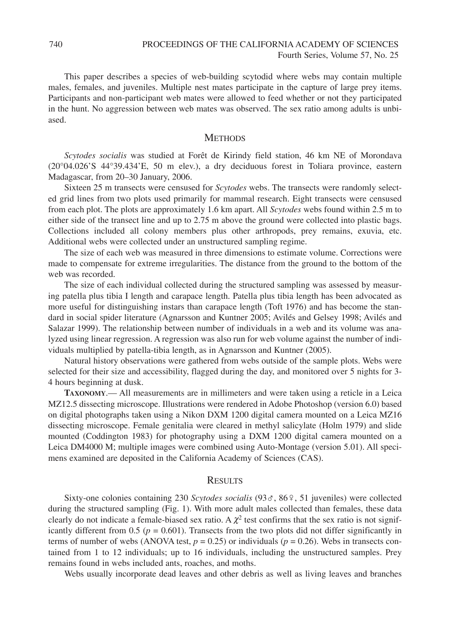This paper describes a species of web-building scytodid where webs may contain multiple males, females, and juveniles. Multiple nest mates participate in the capture of large prey items. Participants and non-participant web mates were allowed to feed whether or not they participated in the hunt. No aggression between web mates was observed. The sex ratio among adults is unbiased.

### **METHODS**

*Scytodes socialis* was studied at Forêt de Kirindy field station, 46 km NE of Morondava (20°04.026'S 44°39.434'E, 50 m elev.), a dry deciduous forest in Toliara province, eastern Madagascar, from 20–30 January, 2006.

Sixteen 25 m transects were censused for *Scytodes* webs. The transects were randomly selected grid lines from two plots used primarily for mammal research. Eight transects were censused from each plot. The plots are approximately 1.6 km apart. All *Scytodes* webs found within 2.5 m to either side of the transect line and up to 2.75 m above the ground were collected into plastic bags. Collections included all colony members plus other arthropods, prey remains, exuvia, etc. Additional webs were collected under an unstructured sampling regime.

The size of each web was measured in three dimensions to estimate volume. Corrections were made to compensate for extreme irregularities. The distance from the ground to the bottom of the web was recorded.

The size of each individual collected during the structured sampling was assessed by measuring patella plus tibia I length and carapace length. Patella plus tibia length has been advocated as more useful for distinguishing instars than carapace length (Toft 1976) and has become the standard in social spider literature (Agnarsson and Kuntner 2005; Avilés and Gelsey 1998; Avilés and Salazar 1999). The relationship between number of individuals in a web and its volume was analyzed using linear regression. A regression was also run for web volume against the number of individuals multiplied by patella-tibia length, as in Agnarsson and Kuntner (2005).

Natural history observations were gathered from webs outside of the sample plots. Webs were selected for their size and accessibility, flagged during the day, and monitored over 5 nights for 3- 4 hours beginning at dusk.

**TAXONOMY**.— All measurements are in millimeters and were taken using a reticle in a Leica MZ12.5 dissecting microscope. Illustrations were rendered in Adobe Photoshop (version 6.0) based on digital photographs taken using a Nikon DXM 1200 digital camera mounted on a Leica MZ16 dissecting microscope. Female genitalia were cleared in methyl salicylate (Holm 1979) and slide mounted (Coddington 1983) for photography using a DXM 1200 digital camera mounted on a Leica DM4000 M; multiple images were combined using Auto-Montage (version 5.01). All specimens examined are deposited in the California Academy of Sciences (CAS).

#### **RESULTS**

Sixty-one colonies containing 230 *Scytodes socialis* (93♂, 86♀, 51 juveniles) were collected during the structured sampling (Fig. 1). With more adult males collected than females, these data clearly do not indicate a female-biased sex ratio. A  $\chi^2$  test confirms that the sex ratio is not significantly different from 0.5 ( $p = 0.601$ ). Transects from the two plots did not differ significantly in terms of number of webs (ANOVA test,  $p = 0.25$ ) or individuals ( $p = 0.26$ ). Webs in transects contained from 1 to 12 individuals; up to 16 individuals, including the unstructured samples. Prey remains found in webs included ants, roaches, and moths.

Webs usually incorporate dead leaves and other debris as well as living leaves and branches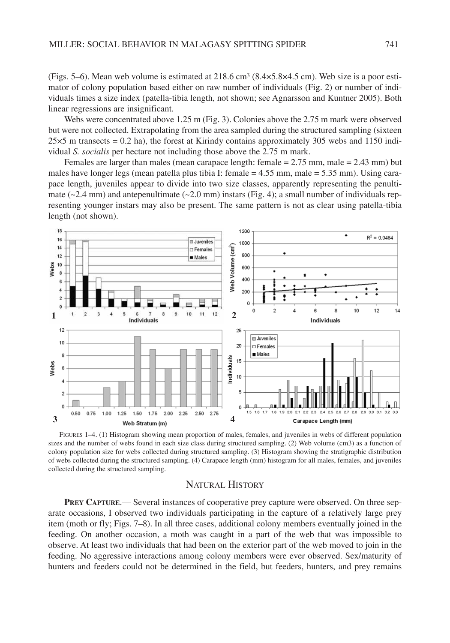(Figs. 5–6). Mean web volume is estimated at 218.6 cm3 (8.4×5.8×4.5 cm). Web size is a poor estimator of colony population based either on raw number of individuals (Fig. 2) or number of individuals times a size index (patella-tibia length, not shown; see Agnarsson and Kuntner 2005). Both linear regressions are insignificant.

Webs were concentrated above 1.25 m (Fig. 3). Colonies above the 2.75 m mark were observed but were not collected. Extrapolating from the area sampled during the structured sampling (sixteen  $25\times5$  m transects = 0.2 ha), the forest at Kirindy contains approximately 305 webs and 1150 individual *S. socialis* per hectare not including those above the 2.75 m mark.

Females are larger than males (mean carapace length: female = 2.75 mm, male = 2.43 mm) but males have longer legs (mean patella plus tibia I: female = 4.55 mm, male = 5.35 mm). Using carapace length, juveniles appear to divide into two size classes, apparently representing the penultimate ( $\sim$ 2.4 mm) and antepenultimate ( $\sim$ 2.0 mm) instars (Fig. 4); a small number of individuals representing younger instars may also be present. The same pattern is not as clear using patella-tibia length (not shown).



FIGURES 1–4. (1) Histogram showing mean proportion of males, females, and juveniles in webs of different population sizes and the number of webs found in each size class during structured sampling. (2) Web volume (cm3) as a function of colony population size for webs collected during structured sampling. (3) Histogram showing the stratigraphic distribution of webs collected during the structured sampling. (4) Carapace length (mm) histogram for all males, females, and juveniles collected during the structured sampling.

# NATURAL HISTORY

**PREY CAPTURE**.— Several instances of cooperative prey capture were observed. On three separate occasions, I observed two individuals participating in the capture of a relatively large prey item (moth or fly; Figs. 7–8). In all three cases, additional colony members eventually joined in the feeding. On another occasion, a moth was caught in a part of the web that was impossible to observe. At least two individuals that had been on the exterior part of the web moved to join in the feeding. No aggressive interactions among colony members were ever observed. Sex/maturity of hunters and feeders could not be determined in the field, but feeders, hunters, and prey remains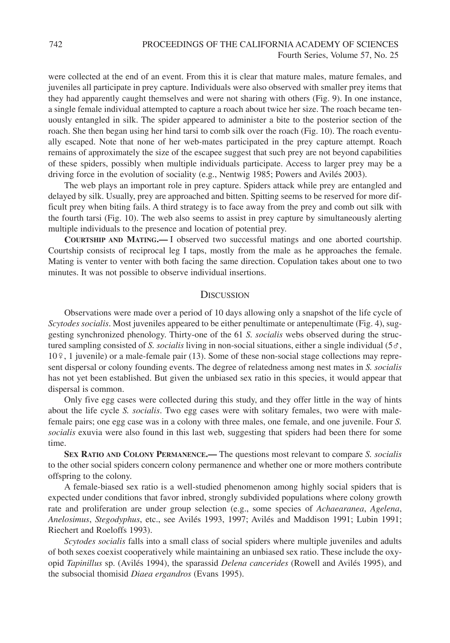were collected at the end of an event. From this it is clear that mature males, mature females, and juveniles all participate in prey capture. Individuals were also observed with smaller prey items that they had apparently caught themselves and were not sharing with others (Fig. 9). In one instance, a single female individual attempted to capture a roach about twice her size. The roach became tenuously entangled in silk. The spider appeared to administer a bite to the posterior section of the roach. She then began using her hind tarsi to comb silk over the roach (Fig. 10). The roach eventually escaped. Note that none of her web-mates participated in the prey capture attempt. Roach remains of approximately the size of the escapee suggest that such prey are not beyond capabilities of these spiders, possibly when multiple individuals participate. Access to larger prey may be a driving force in the evolution of sociality (e.g., Nentwig 1985; Powers and Avilés 2003).

The web plays an important role in prey capture. Spiders attack while prey are entangled and delayed by silk. Usually, prey are approached and bitten. Spitting seems to be reserved for more difficult prey when biting fails. A third strategy is to face away from the prey and comb out silk with the fourth tarsi (Fig. 10). The web also seems to assist in prey capture by simultaneously alerting multiple individuals to the presence and location of potential prey.

**COURTSHIP AND MATING.—** I observed two successful matings and one aborted courtship. Courtship consists of reciprocal leg I taps, mostly from the male as he approaches the female. Mating is venter to venter with both facing the same direction. Copulation takes about one to two minutes. It was not possible to observe individual insertions.

#### **DISCUSSION**

Observations were made over a period of 10 days allowing only a snapshot of the life cycle of *Scytodes socialis*. Most juveniles appeared to be either penultimate or antepenultimate (Fig. 4), suggesting synchronized phenology. Thirty-one of the 61 *S. socialis* webs observed during the structured sampling consisted of *S. socialis* living in non-social situations, either a single individual (5♂, 10♀, 1 juvenile) or a male-female pair (13). Some of these non-social stage collections may represent dispersal or colony founding events. The degree of relatedness among nest mates in *S. socialis* has not yet been established. But given the unbiased sex ratio in this species, it would appear that dispersal is common.

Only five egg cases were collected during this study, and they offer little in the way of hints about the life cycle *S. socialis*. Two egg cases were with solitary females, two were with malefemale pairs; one egg case was in a colony with three males, one female, and one juvenile. Four *S. socialis* exuvia were also found in this last web, suggesting that spiders had been there for some time.

**SEX RATIO AND COLONY PERMANENCE.—** The questions most relevant to compare *S. socialis* to the other social spiders concern colony permanence and whether one or more mothers contribute offspring to the colony.

A female-biased sex ratio is a well-studied phenomenon among highly social spiders that is expected under conditions that favor inbred, strongly subdivided populations where colony growth rate and proliferation are under group selection (e.g., some species of *Achaearanea*, *Agelena*, *Anelosimus*, *Stegodyphus*, etc., see Avilés 1993, 1997; Avilés and Maddison 1991; Lubin 1991; Riechert and Roeloffs 1993).

*Scytodes socialis* falls into a small class of social spiders where multiple juveniles and adults of both sexes coexist cooperatively while maintaining an unbiased sex ratio. These include the oxyopid *Tapinillus* sp. (Avilés 1994), the sparassid *Delena cancerides* (Rowell and Avilés 1995), and the subsocial thomisid *Diaea ergandros* (Evans 1995).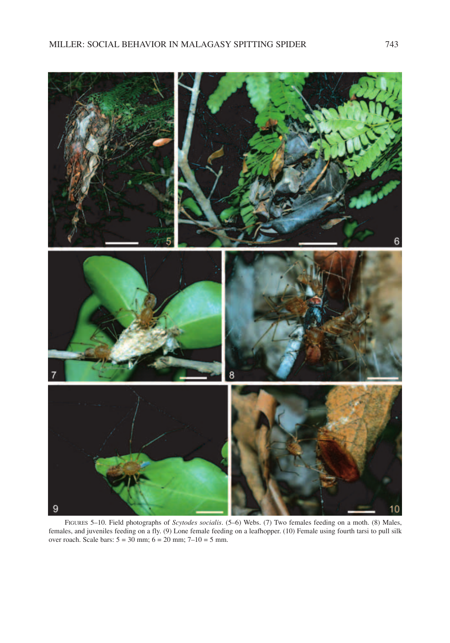

FIGURES 5–10. Field photographs of *Scytodes socialis*. (5–6) Webs. (7) Two females feeding on a moth. (8) Males, females, and juveniles feeding on a fly. (9) Lone female feeding on a leafhopper. (10) Female using fourth tarsi to pull silk over roach. Scale bars:  $5 = 30$  mm;  $6 = 20$  mm;  $7 - 10 = 5$  mm.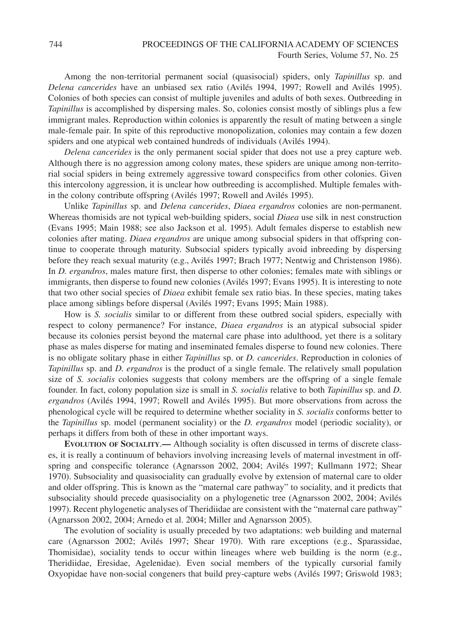Among the non-territorial permanent social (quasisocial) spiders, only *Tapinillus* sp. and *Delena cancerides* have an unbiased sex ratio (Avilés 1994, 1997; Rowell and Avilés 1995). Colonies of both species can consist of multiple juveniles and adults of both sexes. Outbreeding in *Tapinillus* is accomplished by dispersing males. So, colonies consist mostly of siblings plus a few immigrant males. Reproduction within colonies is apparently the result of mating between a single male-female pair. In spite of this reproductive monopolization, colonies may contain a few dozen spiders and one atypical web contained hundreds of individuals (Avilés 1994).

*Delena cancerides* is the only permanent social spider that does not use a prey capture web. Although there is no aggression among colony mates, these spiders are unique among non-territorial social spiders in being extremely aggressive toward conspecifics from other colonies. Given this intercolony aggression, it is unclear how outbreeding is accomplished. Multiple females within the colony contribute offspring (Avilés 1997; Rowell and Avilés 1995).

Unlike *Tapinillus* sp. and *Delena cancerides*, *Diaea ergandros* colonies are non-permanent. Whereas thomisids are not typical web-building spiders, social *Diaea* use silk in nest construction (Evans 1995; Main 1988; see also Jackson et al. 1995). Adult females disperse to establish new colonies after mating. *Diaea ergandros* are unique among subsocial spiders in that offspring continue to cooperate through maturity. Subsocial spiders typically avoid inbreeding by dispersing before they reach sexual maturity (e.g., Avilés 1997; Brach 1977; Nentwig and Christenson 1986). In *D. ergandros*, males mature first, then disperse to other colonies; females mate with siblings or immigrants, then disperse to found new colonies (Avilés 1997; Evans 1995). It is interesting to note that two other social species of *Diaea* exhibit female sex ratio bias. In these species, mating takes place among siblings before dispersal (Avilés 1997; Evans 1995; Main 1988).

How is *S. socialis* similar to or different from these outbred social spiders, especially with respect to colony permanence? For instance, *Diaea ergandros* is an atypical subsocial spider because its colonies persist beyond the maternal care phase into adulthood, yet there is a solitary phase as males disperse for mating and inseminated females disperse to found new colonies. There is no obligate solitary phase in either *Tapinillus* sp. or *D. cancerides*. Reproduction in colonies of *Tapinillus* sp. and *D. ergandros* is the product of a single female. The relatively small population size of *S. socialis* colonies suggests that colony members are the offspring of a single female founder. In fact, colony population size is small in *S. socialis* relative to both *Tapinillus* sp. and *D. ergandros* (Avilés 1994, 1997; Rowell and Avilés 1995). But more observations from across the phenological cycle will be required to determine whether sociality in *S. socialis* conforms better to the *Tapinillus* sp. model (permanent sociality) or the *D. ergandros* model (periodic sociality), or perhaps it differs from both of these in other important ways.

**EVOLUTION OF SOCIALITY**.**—** Although sociality is often discussed in terms of discrete classes, it is really a continuum of behaviors involving increasing levels of maternal investment in offspring and conspecific tolerance (Agnarsson 2002, 2004; Avilés 1997; Kullmann 1972; Shear 1970). Subsociality and quasisociality can gradually evolve by extension of maternal care to older and older offspring. This is known as the "maternal care pathway" to sociality, and it predicts that subsociality should precede quasisociality on a phylogenetic tree (Agnarsson 2002, 2004; Avilés 1997). Recent phylogenetic analyses of Theridiidae are consistent with the "maternal care pathway" (Agnarsson 2002, 2004; Arnedo et al. 2004; Miller and Agnarsson 2005).

The evolution of sociality is usually preceded by two adaptations: web building and maternal care (Agnarsson 2002; Avilés 1997; Shear 1970). With rare exceptions (e.g., Sparassidae, Thomisidae), sociality tends to occur within lineages where web building is the norm (e.g., Theridiidae, Eresidae, Agelenidae). Even social members of the typically cursorial family Oxyopidae have non-social congeners that build prey-capture webs (Avilés 1997; Griswold 1983;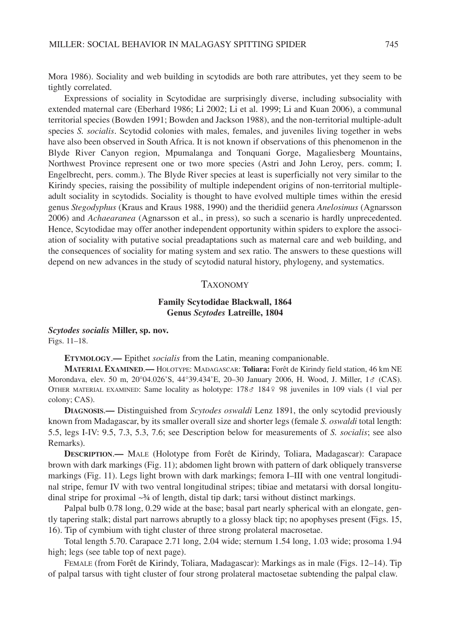Mora 1986). Sociality and web building in scytodids are both rare attributes, yet they seem to be tightly correlated.

Expressions of sociality in Scytodidae are surprisingly diverse, including subsociality with extended maternal care (Eberhard 1986; Li 2002; Li et al. 1999; Li and Kuan 2006), a communal territorial species (Bowden 1991; Bowden and Jackson 1988), and the non-territorial multiple-adult species *S. socialis*. Scytodid colonies with males, females, and juveniles living together in webs have also been observed in South Africa. It is not known if observations of this phenomenon in the Blyde River Canyon region, Mpumalanga and Tonquani Gorge, Magaliesberg Mountains, Northwest Province represent one or two more species (Astri and John Leroy, pers. comm; I. Engelbrecht, pers. comm.). The Blyde River species at least is superficially not very similar to the Kirindy species, raising the possibility of multiple independent origins of non-territorial multipleadult sociality in scytodids. Sociality is thought to have evolved multiple times within the eresid genus *Stegodyphus* (Kraus and Kraus 1988, 1990) and the theridiid genera *Anelosimus* (Agnarsson 2006) and *Achaearanea* (Agnarsson et al., in press), so such a scenario is hardly unprecedented. Hence, Scytodidae may offer another independent opportunity within spiders to explore the association of sociality with putative social preadaptations such as maternal care and web building, and the consequences of sociality for mating system and sex ratio. The answers to these questions will depend on new advances in the study of scytodid natural history, phylogeny, and systematics.

#### TAXONOMY

## **Family Scytodidae Blackwall, 1864 Genus** *Scytodes* **Latreille, 1804**

*Scytodes socialis* **Miller, sp. nov.** Figs. 11–18.

**ETYMOLOGY**.**—** Epithet *socialis* from the Latin, meaning companionable.

**MATERIAL EXAMINED**.**—** HOLOTYPE: MADAGASCAR: **Toliara:** Forêt de Kirindy field station, 46 km NE Morondava, elev. 50 m, 20°04.026'S, 44°39.434'E, 20–30 January 2006, H. Wood, J. Miller, 1♂ (CAS). OTHER MATERIAL EXAMINED: Same locality as holotype: 178♂ 184♀ 98 juveniles in 109 vials (1 vial per colony; CAS).

**DIAGNOSIS**.**—** Distinguished from *Scytodes oswaldi* Lenz 1891, the only scytodid previously known from Madagascar, by its smaller overall size and shorter legs (female *S. oswaldi* total length: 5.5, legs I-IV: 9.5, 7.3, 5.3, 7.6; see Description below for measurements of *S. socialis*; see also Remarks).

**DESCRIPTION**.**—** MALE (Holotype from Forêt de Kirindy, Toliara, Madagascar): Carapace brown with dark markings (Fig. 11); abdomen light brown with pattern of dark obliquely transverse markings (Fig. 11). Legs light brown with dark markings; femora I–III with one ventral longitudinal stripe, femur IV with two ventral longitudinal stripes; tibiae and metatarsi with dorsal longitudinal stripe for proximal  $~3/4$  of length, distal tip dark; tarsi without distinct markings.

Palpal bulb 0.78 long, 0.29 wide at the base; basal part nearly spherical with an elongate, gently tapering stalk; distal part narrows abruptly to a glossy black tip; no apophyses present (Figs. 15, 16). Tip of cymbium with tight cluster of three strong prolateral macrosetae.

Total length 5.70. Carapace 2.71 long, 2.04 wide; sternum 1.54 long, 1.03 wide; prosoma 1.94 high; legs (see table top of next page).

FEMALE (from Forêt de Kirindy, Toliara, Madagascar): Markings as in male (Figs. 12–14). Tip of palpal tarsus with tight cluster of four strong prolateral mactosetae subtending the palpal claw.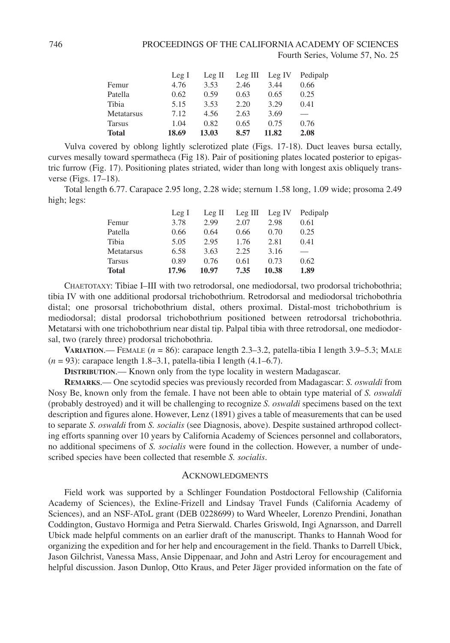|                   | Leg I | Leg II | $Leg \nIII$ | Leg IV | Pedipalp |
|-------------------|-------|--------|-------------|--------|----------|
| Femur             | 4.76  | 3.53   | 2.46        | 3.44   | 0.66     |
| Patella           | 0.62  | 0.59   | 0.63        | 0.65   | 0.25     |
| Tibia             | 5.15  | 3.53   | 2.20        | 3.29   | 0.41     |
| <b>Metatarsus</b> | 7.12  | 4.56   | 2.63        | 3.69   |          |
| <b>Tarsus</b>     | 1.04  | 0.82   | 0.65        | 0.75   | 0.76     |
| <b>Total</b>      | 18.69 | 13.03  | 8.57        | 11.82  | 2.08     |

Vulva covered by oblong lightly sclerotized plate (Figs. 17-18). Duct leaves bursa ectally, curves mesally toward spermatheca (Fig 18). Pair of positioning plates located posterior to epigastric furrow (Fig. 17). Positioning plates striated, wider than long with longest axis obliquely transverse (Figs. 17–18).

Total length 6.77. Carapace 2.95 long, 2.28 wide; sternum 1.58 long, 1.09 wide; prosoma 2.49 high; legs:

|               | Leg I | Leg II | Leg III | Leg IV | Pedipalp |
|---------------|-------|--------|---------|--------|----------|
| Femur         | 3.78  | 2.99   | 2.07    | 2.98   | 0.61     |
| Patella       | 0.66  | 0.64   | 0.66    | 0.70   | 0.25     |
| Tibia         | 5.05  | 2.95   | 1.76    | 2.81   | 0.41     |
| Metatarsus    | 6.58  | 3.63   | 2.25    | 3.16   |          |
| <b>Tarsus</b> | 0.89  | 0.76   | 0.61    | 0.73   | 0.62     |
| <b>Total</b>  | 17.96 | 10.97  | 7.35    | 10.38  | 1.89     |

CHAETOTAXY: Tibiae I–III with two retrodorsal, one mediodorsal, two prodorsal trichobothria; tibia IV with one additional prodorsal trichobothrium. Retrodorsal and mediodorsal trichobothria distal; one prosorsal trichobothrium distal, others proximal. Distal-most trichobothrium is mediodorsal; distal prodorsal trichobothrium positioned between retrodorsal trichobothria. Metatarsi with one trichobothrium near distal tip. Palpal tibia with three retrodorsal, one mediodorsal, two (rarely three) prodorsal trichobothria.

**VARIATION.**— FEMALE  $(n = 86)$ : carapace length 2.3–3.2, patella-tibia I length 3.9–5.3; MALE (*n* = 93): carapace length 1.8–3.1, patella-tibia I length (4.1–6.7).

**DISTRIBUTION**.— Known only from the type locality in western Madagascar.

**REMARKS**.— One scytodid species was previously recorded from Madagascar: *S. oswaldi* from Nosy Be, known only from the female. I have not been able to obtain type material of *S. oswaldi* (probably destroyed) and it will be challenging to recognize *S. oswaldi* specimens based on the text description and figures alone. However, Lenz (1891) gives a table of measurements that can be used to separate *S. oswaldi* from *S. socialis* (see Diagnosis, above). Despite sustained arthropod collecting efforts spanning over 10 years by California Academy of Sciences personnel and collaborators, no additional specimens of *S. socialis* were found in the collection. However, a number of undescribed species have been collected that resemble *S. socialis*.

#### **ACKNOWLEDGMENTS**

Field work was supported by a Schlinger Foundation Postdoctoral Fellowship (California Academy of Sciences), the Exline-Frizell and Lindsay Travel Funds (California Academy of Sciences), and an NSF-AToL grant (DEB 0228699) to Ward Wheeler, Lorenzo Prendini, Jonathan Coddington, Gustavo Hormiga and Petra Sierwald. Charles Griswold, Ingi Agnarsson, and Darrell Ubick made helpful comments on an earlier draft of the manuscript. Thanks to Hannah Wood for organizing the expedition and for her help and encouragement in the field. Thanks to Darrell Ubick, Jason Gilchrist, Vanessa Mass, Ansie Dippenaar, and John and Astri Leroy for encouragement and helpful discussion. Jason Dunlop, Otto Kraus, and Peter Jäger provided information on the fate of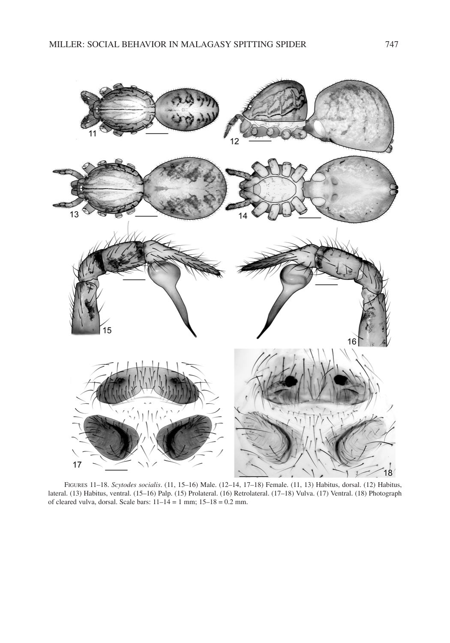

FIGURES 11–18. *Scytodes socialis*. (11, 15–16) Male. (12–14, 17–18) Female. (11, 13) Habitus, dorsal. (12) Habitus, lateral. (13) Habitus, ventral. (15–16) Palp. (15) Prolateral. (16) Retrolateral. (17–18) Vulva. (17) Ventral. (18) Photograph of cleared vulva, dorsal. Scale bars:  $11-14 = 1$  mm;  $15-18 = 0.2$  mm.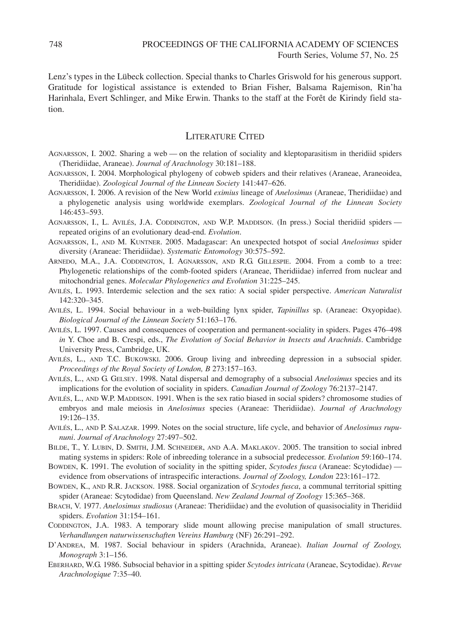Lenz's types in the Lübeck collection. Special thanks to Charles Griswold for his generous support. Gratitude for logistical assistance is extended to Brian Fisher, Balsama Rajemison, Rin'ha Harinhala, Evert Schlinger, and Mike Erwin. Thanks to the staff at the Forêt de Kirindy field station.

# LITERATURE CITED

- AGNARSSON, I. 2002. Sharing a web on the relation of sociality and kleptoparasitism in theridiid spiders (Theridiidae, Araneae). *Journal of Arachnology* 30:181–188.
- AGNARSSON, I. 2004. Morphological phylogeny of cobweb spiders and their relatives (Araneae, Araneoidea, Theridiidae). *Zoological Journal of the Linnean Society* 141:447–626.
- AGNARSSON, I. 2006. A revision of the New World *eximius* lineage of *Anelosimus* (Araneae, Theridiidae) and a phylogenetic analysis using worldwide exemplars. *Zoological Journal of the Linnean Society* 146:453–593.
- AGNARSSON, I., L. AVILÉS, J.A. CODDINGTON, AND W.P. MADDISON. (In press.) Social theridiid spiders repeated origins of an evolutionary dead-end. *Evolution*.
- AGNARSSON, I., AND M. KUNTNER. 2005. Madagascar: An unexpected hotspot of social *Anelosimus* spider diversity (Araneae: Theridiidae). *Systematic Entomology* 30:575–592.
- ARNEDO, M.A., J.A. CODDINGTON, I. AGNARSSON, AND R.G. GILLESPIE. 2004. From a comb to a tree: Phylogenetic relationships of the comb-footed spiders (Araneae, Theridiidae) inferred from nuclear and mitochondrial genes. *Molecular Phylogenetics and Evolution* 31:225–245.
- AVILÉS, L. 1993. Interdemic selection and the sex ratio: A social spider perspective. *American Naturalist* 142:320–345.
- AVILÉS, L. 1994. Social behaviour in a web-building lynx spider, *Tapinillus* sp. (Araneae: Oxyopidae). *Biological Journal of the Linnean Society* 51:163–176.
- AVILÉS, L. 1997. Causes and consequences of cooperation and permanent-sociality in spiders. Pages 476–498 *in* Y. Choe and B. Crespi, eds., *The Evolution of Social Behavior in Insects and Arachnids*. Cambridge University Press, Cambridge, UK.
- AVILÉS, L., AND T.C. BUKOWSKI. 2006. Group living and inbreeding depression in a subsocial spider. *Proceedings of the Royal Society of London, B* 273:157–163.
- AVILÉS, L., AND G. GELSEY. 1998. Natal dispersal and demography of a subsocial *Anelosimus* species and its implications for the evolution of sociality in spiders. *Canadian Journal of Zoology* 76:2137–2147.
- AVILÉS, L., AND W.P. MADDISON. 1991. When is the sex ratio biased in social spiders? chromosome studies of embryos and male meiosis in *Anelosimus* species (Araneae: Theridiidae). *Journal of Arachnology* 19:126–135.
- AVILÉS, L., AND P. SALAZAR. 1999. Notes on the social structure, life cycle, and behavior of *Anelosimus rupununi*. *Journal of Arachnology* 27:497–502.
- BILDE, T., Y. LUBIN, D. SMITH, J.M. SCHNEIDER, AND A.A. MAKLAKOV. 2005. The transition to social inbred mating systems in spiders: Role of inbreeding tolerance in a subsocial predecessor. *Evolution* 59:160–174.
- BOWDEN, K. 1991. The evolution of sociality in the spitting spider, *Scytodes fusca* (Araneae: Scytodidae) evidence from observations of intraspecific interactions. *Journal of Zoology, London* 223:161–172.
- BOWDEN, K., AND R.R. JACKSON. 1988. Social organization of *Scytodes fusca*, a communal territorial spitting spider (Araneae: Scytodidae) from Queensland. *New Zealand Journal of Zoology* 15:365–368.
- BRACH, V. 1977. *Anelosimus studiosus* (Araneae: Theridiidae) and the evolution of quasisociality in Theridiid spiders. *Evolution* 31:154–161.
- CODDINGTON, J.A. 1983. A temporary slide mount allowing precise manipulation of small structures. *Verhandlungen naturwissenschaften Vereins Hamburg* (NF) 26:291–292.
- D'ANDREA, M. 1987. Social behaviour in spiders (Arachnida, Araneae). *Italian Journal of Zoology, Monograph* 3:1–156.
- EBERHARD, W.G. 1986. Subsocial behavior in a spitting spider *Scytodes intricata* (Araneae, Scytodidae). *Revue Arachnologique* 7:35–40.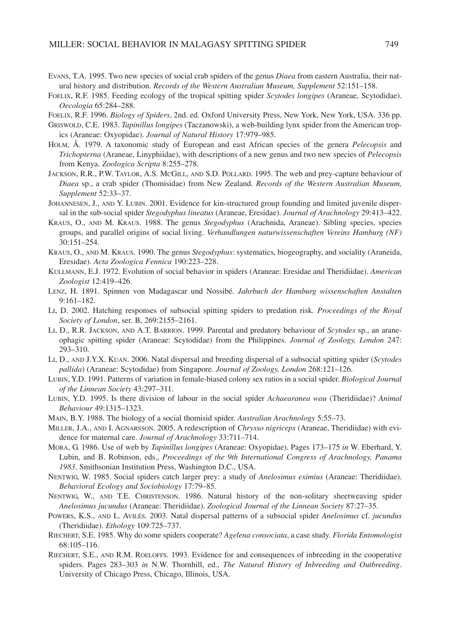- EVANS, T.A. 1995. Two new species of social crab spiders of the genus *Diaea* from eastern Australia, their natural history and distribution. *Records of the Western Australian Museum, Supplement* 52:151–158.
- FOELIX, R.F. 1985. Feeding ecology of the tropical spitting spider *Scytodes longipes* (Araneae, Scytodidae). *Oecologia* 65:284–288.

FOELIX, R.F. 1996. *Biology of Spiders*, 2nd. ed. Oxford University Press, New York, New York, USA. 336 pp.

- GRISWOLD, C.E. 1983. *Tapinillus longipes* (Taczanowski), a web-building lynx spider from the American tropics (Araneae: Oxyopidae). *Journal of Natural History* 17:979–985.
- HOLM, Å. 1979. A taxonomic study of European and east African species of the genera *Pelecopsis* and *Trichopterna* (Araneae, Linyphiidae), with descriptions of a new genus and two new species of *Pelecopsis* from Kenya. *Zoologica Scripta* 8:255–278.
- JACKSON, R.R., P.W. TAYLOR, A.S. MCGILL, AND S.D. POLLARD. 1995. The web and prey-capture behaviour of *Diaea* sp., a crab spider (Thomisidae) from New Zealand. *Records of the Western Australian Museum, Supplement* 52:33–37.
- JOHANNESEN, J., AND Y. LUBIN. 2001. Evidence for kin-structured group founding and limited juvenile dispersal in the sub-social spider *Stegodyphus lineatus* (Araneae, Eresidae). *Journal of Arachnology* 29:413–422.
- KRAUS, O., AND M. KRAUS. 1988. The genus *Stegodyphus* (Arachnida, Araneae). Sibling species, species groups, and parallel origins of social living. *Verhandlungen naturwissenschaften Vereins Hamburg (NF)* 30:151–254.
- KRAUS, O., AND M. KRAUS. 1990. The genus *Stegodyphus*: systematics, biogeography, and sociality (Araneida, Eresidae). *Acta Zoologica Fennica* 190:223–228.
- KULLMANN, E.J. 1972. Evolution of social behavior in spiders (Araneae: Eresidae and Theridiidae). *American Zoologist* 12:419–426.
- LENZ, H. 1891. Spinnen von Madagascar und Nossibé. *Jahrbuch der Hamburg wissenschaften Anstalten* 9:161–182.
- LI, D. 2002. Hatching responses of subsocial spitting spiders to predation risk. *Proceedings of the Royal Society of London*, ser. B, 269:2155–2161.
- LI, D., R.R. JACKSON, AND A.T. BARRION. 1999. Parental and predatory behaviour of *Scytodes* sp., an araneophagic spitting spider (Araneae: Scytodidae) from the Philippines. *Journal of Zoology, London* 247: 293–310.
- LI, D., AND J.Y.X. KUAN. 2006. Natal dispersal and breeding dispersal of a subsocial spitting spider (*Scytodes pallida*) (Araneae: Scytodidae) from Singapore. *Journal of Zoology, London* 268:121–126.
- LUBIN, Y.D. 1991. Patterns of variation in female-biased colony sex ratios in a social spider. *Biological Journal of the Linnean Society* 43:297–311.
- LUBIN, Y.D. 1995. Is there division of labour in the social spider *Achaearanea wau* (Theridiidae)? *Animal Behaviour* 49:1315–1323.
- MAIN, B.Y. 1988. The biology of a social thomisid spider. *Australian Arachnology* 5:55–73.
- MILLER, J.A., AND I. AGNARSSON. 2005. A redescription of *Chrysso nigriceps* (Araneae, Theridiidae) with evidence for maternal care. *Journal of Arachnology* 33:711–714.
- MORA, G. 1986. Use of web by *Tapinillus longipes* (Araneae: Oxyopidae). Pages 173–175 *in* W. Eberhard, Y. Lubin, and B. Robinson, eds., *Proceedings of the 9th International Congress of Arachnology, Panama 1983*. Smithsonian Institution Press, Washington D.C., USA.
- NENTWIG, W. 1985. Social spiders catch larger prey: a study of *Anelosimus eximius* (Araneae: Theridiidae). *Behavioral Ecology and Sociobiology* 17:79–85.
- NENTWIG, W., AND T.E. CHRISTENSON. 1986. Natural history of the non-solitary sheetweaving spider *Anelosimus jucundus* (Araneae: Theridiidae). *Zoological Journal of the Linnean Society* 87:27–35.
- POWERS, K.S., AND L. AVILÉS. 2003. Natal dispersal patterns of a subsocial spider *Anelosimus* cf. *jucundus* (Theridiidae). *Ethology* 109:725–737.
- RIECHERT, S.E. 1985. Why do some spiders cooperate? *Agelena consociata*, a case study. *Florida Entomologist* 68:105–116.
- RIECHERT, S.E., AND R.M. ROELOFFS. 1993. Evidence for and consequences of inbreeding in the cooperative spiders. Pages 283–303 *in* N.W. Thornhill, ed., *The Natural History of Inbreeding and Outbreeding*. University of Chicago Press, Chicago, Illinois, USA.